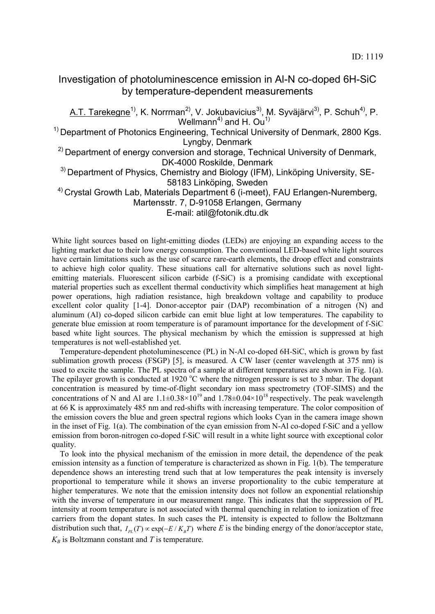## Investigation of photoluminescence emission in Al-N co-doped 6H-SiC by temperature-dependent measurements

A.T. Tarekegne<sup>1)</sup>, K. Norrman<sup>2)</sup>, V. Jokubavicius<sup>3)</sup>, M. Syväjärvi<sup>3)</sup>, P. Schuh<sup>4)</sup>, P. Wellmann<sup>4)</sup> and H. Ou<sup>1)</sup>

<sup>1)</sup> Department of Photonics Engineering, Technical University of Denmark, 2800 Kgs. Lyngby, Denmark

<sup>2)</sup> Department of energy conversion and storage, Technical University of Denmark, DK-4000 Roskilde, Denmark

 $3)$  Department of Physics, Chemistry and Biology (IFM), Linköping University, SE-58183 Linköping, Sweden

<sup>4)</sup> Crystal Growth Lab, Materials Department 6 (i-meet), FAU Erlangen-Nuremberg, Martensstr. 7, D-91058 Erlangen, Germany

E-mail: atil@fotonik.dtu.dk

White light sources based on light-emitting diodes (LEDs) are enjoying an expanding access to the lighting market due to their low energy consumption. The conventional LED-based white light sources have certain limitations such as the use of scarce rare-earth elements, the droop effect and constraints to achieve high color quality. These situations call for alternative solutions such as novel lightemitting materials. Fluorescent silicon carbide (f-SiC) is a promising candidate with exceptional material properties such as excellent thermal conductivity which simplifies heat management at high power operations, high radiation resistance, high breakdown voltage and capability to produce excellent color quality [1-4]. Donor-acceptor pair (DAP) recombination of a nitrogen (N) and aluminum (Al) co-doped silicon carbide can emit blue light at low temperatures. The capability to generate blue emission at room temperature is of paramount importance for the development of f-SiC based white light sources. The physical mechanism by which the emission is suppressed at high temperatures is not well-established yet.

 Temperature-dependent photoluminescence (PL) in N-Al co-doped 6H-SiC, which is grown by fast sublimation growth process (FSGP) [5], is measured. A CW laser (center wavelength at 375 nm) is used to excite the sample. The PL spectra of a sample at different temperatures are shown in Fig. 1(a). The epilayer growth is conducted at 1920  $\degree$ C where the nitrogen pressure is set to 3 mbar. The dopant concentration is measured by time-of-flight secondary ion mass spectrometry (TOF-SIMS) and the concentrations of N and Al are  $1.1\pm0.38\times10^{19}$  and  $1.78\pm0.04\times10^{18}$  respectively. The peak wavelength at 66 K is approximately 485 nm and red-shifts with increasing temperature. The color composition of the emission covers the blue and green spectral regions which looks Cyan in the camera image shown in the inset of Fig. 1(a). The combination of the cyan emission from N-Al co-doped f-SiC and a yellow emission from boron-nitrogen co-doped f-SiC will result in a white light source with exceptional color quality.

 To look into the physical mechanism of the emission in more detail, the dependence of the peak emission intensity as a function of temperature is characterized as shown in Fig. 1(b). The temperature dependence shows an interesting trend such that at low temperatures the peak intensity is inversely proportional to temperature while it shows an inverse proportionality to the cubic temperature at higher temperatures. We note that the emission intensity does not follow an exponential relationship with the inverse of temperature in our measurement range. This indicates that the suppression of PL intensity at room temperature is not associated with thermal quenching in relation to ionization of free carriers from the dopant states. In such cases the PL intensity is expected to follow the Boltzmann distribution such that,  $I_{PL}(T) \propto \exp(-E/K_B T)$  where *E* is the binding energy of the donor/acceptor state,  $K_B$  is Boltzmann constant and *T* is temperature.